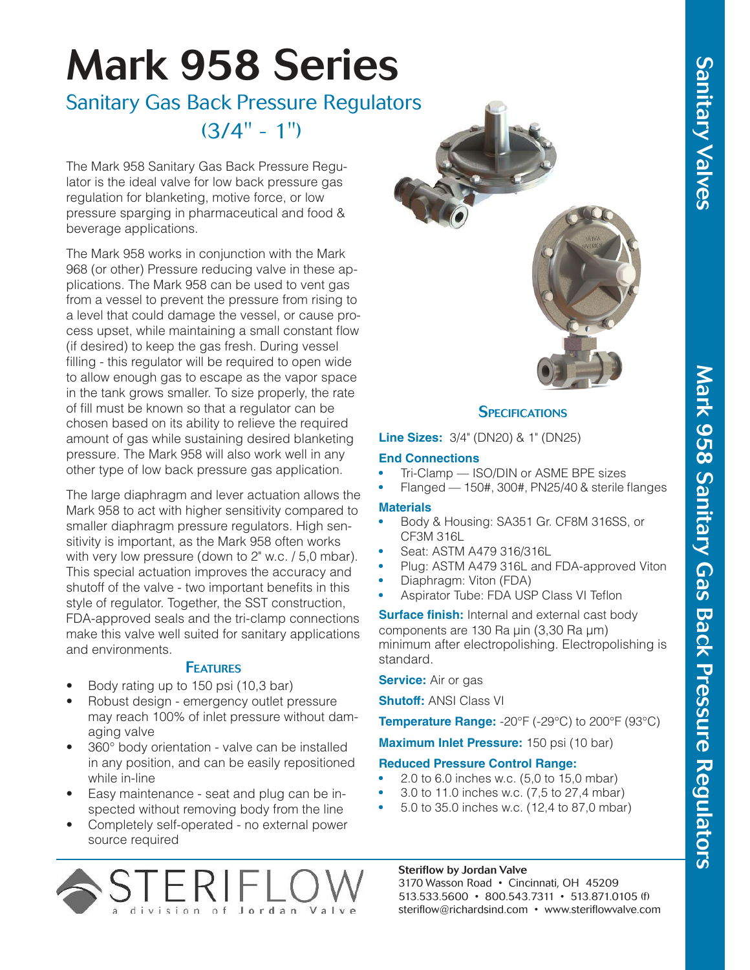# Sanitary Valves

## Mark 958 Series

### Sanitary Gas Back Pressure Regulators  $(3/4" - 1")$

The Mark 958 Sanitary Gas Back Pressure Regulator is the ideal valve for low back pressure gas regulation for blanketing, motive force, or low pressure sparging in pharmaceutical and food & beverage applications.

The Mark 958 works in conjunction with the Mark 968 (or other) Pressure reducing valve in these applications. The Mark 958 can be used to vent gas from a vessel to prevent the pressure from rising to a level that could damage the vessel, or cause process upset, while maintaining a small constant flow (if desired) to keep the gas fresh. During vessel filling - this regulator will be required to open wide to allow enough gas to escape as the vapor space in the tank grows smaller. To size properly, the rate of fill must be known so that a regulator can be chosen based on its ability to relieve the required amount of gas while sustaining desired blanketing pressure. The Mark 958 will also work well in any other type of low back pressure gas application.

The large diaphragm and lever actuation allows the Mark 958 to act with higher sensitivity compared to smaller diaphragm pressure regulators. High sensitivity is important, as the Mark 958 often works with very low pressure (down to 2" w.c. / 5,0 mbar). This special actuation improves the accuracy and shutoff of the valve - two important benefits in this style of regulator. Together, the SST construction, FDA-approved seals and the tri-clamp connections make this valve well suited for sanitary applications and environments.

### **FEATURES**

- Body rating up to 150 psi (10,3 bar)
- Robust design emergency outlet pressure may reach 100% of inlet pressure without damaging valve
- 360° body orientation valve can be installed in any position, and can be easily repositioned while in-line
- Easy maintenance seat and plug can be inspected without removing body from the line
- Completely self-operated no external power source required



### **SPECIFICATIONS**

**Line Sizes:** 3/4" (DN20) & 1" (DN25)

### **End Connections**

- Tri-Clamp ISO/DIN or ASME BPE sizes
- Flanged 150#, 300#, PN25/40 & sterile flanges

### **Materials**

- Body & Housing: SA351 Gr. CF8M 316SS, or CF3M 316L
- Seat: ASTM A479 316/316L
- Plug: ASTM A479 316L and FDA-approved Viton
- Diaphragm: Viton (FDA)
- Aspirator Tube: FDA USP Class VI Teflon

**Surface finish:** Internal and external cast body components are 130 Ra µin (3,30 Ra µm) minimum after electropolishing. Electropolishing is standard.

### **Service:** Air or gas

**Shutoff:** ANSI Class VI

**Temperature Range:** -20°F (-29°C) to 200°F (93°C)

**Maximum Inlet Pressure:** 150 psi (10 bar)

### **Reduced Pressure Control Range:**

- 2.0 to 6.0 inches w.c. (5,0 to 15,0 mbar)
- 3.0 to 11.0 inches w.c. (7,5 to 27,4 mbar)
- 5.0 to 35.0 inches w.c. (12,4 to 87,0 mbar)



### Steriflow by Jordan Valve

3170 Wasson Road • Cincinnati, OH 45209 513.533.5600 • 800.543.7311 • 513.871.0105 (f) steriflow@richardsind.com • www.steriflowvalve.com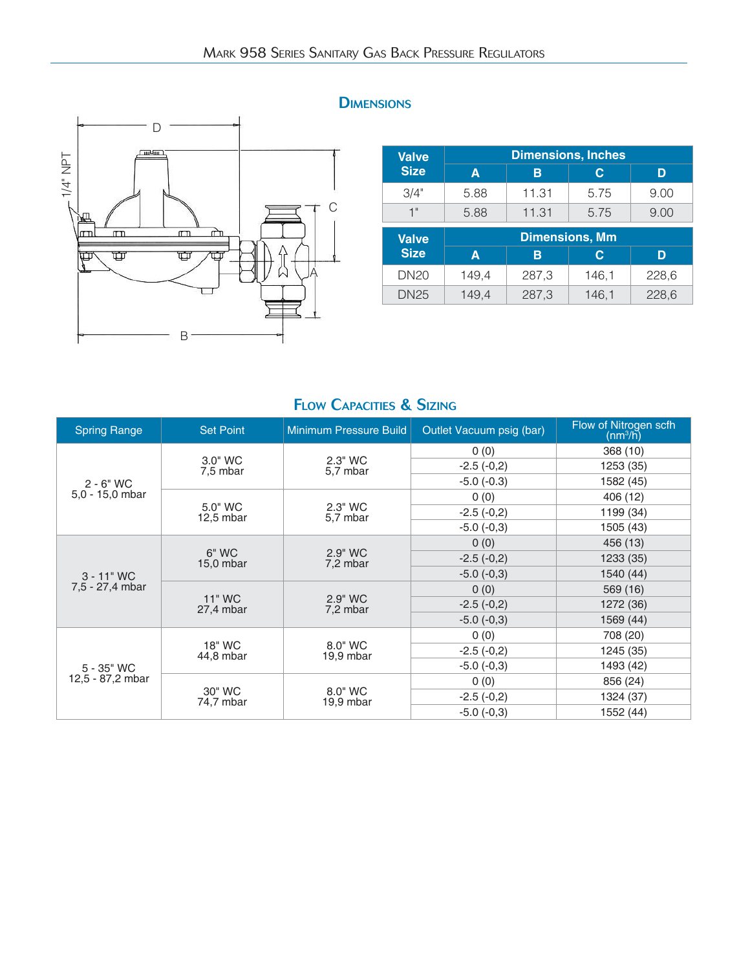

### **DIMENSIONS**

| <b>Valve</b> |      | <b>Dimensions, Inches</b> |                       |      |  |  |
|--------------|------|---------------------------|-----------------------|------|--|--|
| <b>Size</b>  | А    | R                         | С                     |      |  |  |
| 3/4"         | 5.88 | 11.31                     | 5.75                  | 9.00 |  |  |
| 1"           | 5.88 | 11.31                     | 5.75                  | 9.00 |  |  |
| Valve        |      |                           | <b>Dimensions, Mm</b> |      |  |  |

| vaive            |       |       | _     |       |
|------------------|-------|-------|-------|-------|
| <b>Size</b>      | А     | в     |       | D     |
| DN <sub>20</sub> | 149,4 | 287,3 | 146,1 | 228,6 |
| <b>DN25</b>      | 149,4 | 287,3 | 146,1 | 228,6 |

| <b>Spring Range</b> | <b>Set Point</b>       | Minimum Pressure Build | Outlet Vacuum psig (bar) | Flow of Nitrogen scfh<br>$(nm^3/h)$ |
|---------------------|------------------------|------------------------|--------------------------|-------------------------------------|
|                     |                        |                        | 0(0)                     | 368 (10)                            |
|                     | 3.0" WC<br>7,5 mbar    | 2.3" WC<br>5,7 mbar    | $-2.5(-0,2)$             | 1253 (35)                           |
| $2 - 6"$ WC         |                        |                        | $-5.0$ $(-0.3)$          | 1582 (45)                           |
| $5.0 - 15.0$ mbar   |                        |                        | 0(0)                     | 406 (12)                            |
|                     | 5.0" WC<br>$12.5$ mbar | 2.3" WC<br>5,7 mbar    | $-2.5(-0,2)$             | 1199 (34)                           |
|                     |                        |                        | $-5.0$ $(-0,3)$          | 1505 (43)                           |
|                     |                        |                        | 0(0)                     | 456 (13)                            |
|                     | 6" WC<br>$15,0$ mbar   | 2.9" WC<br>7,2 mbar    | $-2.5(-0,2)$             | 1233 (35)                           |
| $3 - 11"$ WC        |                        |                        | $-5.0$ $(-0,3)$          | 1540 (44)                           |
| 7,5 - 27,4 mbar     |                        |                        | 0(0)                     | 569 (16)                            |
|                     | 11" WC<br>27,4 mbar    | 2.9" WC<br>7,2 mbar    | $-2.5(-0,2)$             | 1272 (36)                           |
|                     |                        |                        | $-5.0$ ( $-0.3$ )        | 1569 (44)                           |
|                     |                        |                        | 0(0)                     | 708 (20)                            |
|                     | 18" WC<br>44,8 mbar    | 8.0" WC<br>$19.9$ mbar | $-2.5(-0,2)$             | 1245 (35)                           |
| 5 - 35" WC          |                        |                        | $-5.0$ $(-0.3)$          | 1493 (42)                           |
| 12,5 - 87,2 mbar    |                        |                        | 0(0)                     | 856 (24)                            |
|                     | 30" WC<br>74,7 mbar    | 8.0" WC<br>19,9 mbar   | $-2.5(-0,2)$             | 1324 (37)                           |
|                     |                        |                        | $-5.0$ $(-0,3)$          | 1552 (44)                           |

### FLOW CAPACITIES & SIZING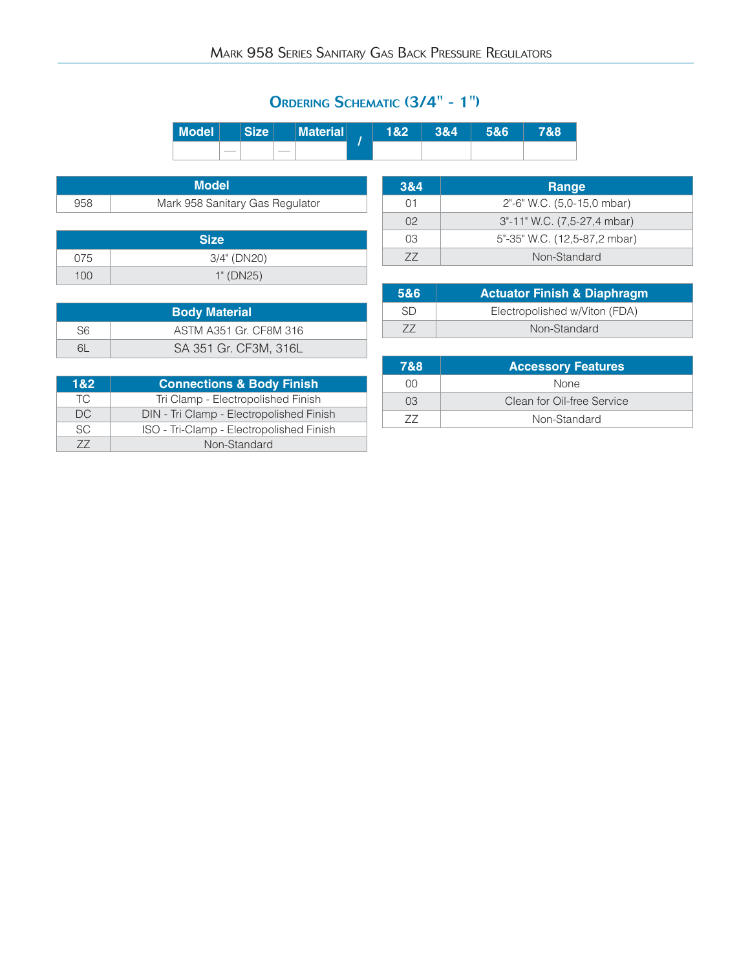### ORDERING SCHEMATIC (3/4" - 1")

| <b>Model</b> | --<br>7A. | . .<br>п<br><b>September 18 1999</b> | 82 | 84 | <b>RG</b> | &8/ |
|--------------|-----------|--------------------------------------|----|----|-----------|-----|
|              |           |                                      |    |    |           |     |

|     | <b>Model</b>                    |
|-----|---------------------------------|
| 958 | Mark 958 Sanitary Gas Regulator |

|     | <b>Size</b> |
|-----|-------------|
| 075 | 3/4" (DN20) |
| 100 | 1" (DN25)   |

|                | <b>Body Material</b>   |
|----------------|------------------------|
| S <sub>6</sub> | ASTM A351 Gr. CF8M 316 |
| 6I             | SA 351 Gr. CF3M, 316L  |

| 182'      | <b>Connections &amp; Body Finish</b>     |
|-----------|------------------------------------------|
| TC.       | Tri Clamp - Electropolished Finish       |
| DC.       | DIN - Tri Clamp - Electropolished Finish |
| <b>SC</b> | ISO - Tri-Clamp - Electropolished Finish |
| 77        | Non-Standard                             |

| 3&4            | Range                        |
|----------------|------------------------------|
| 01             | 2"-6" W.C. (5,0-15,0 mbar)   |
| $\Omega$       | 3"-11" W.C. (7,5-27,4 mbar)  |
| O <sub>3</sub> | 5"-35" W.C. (12,5-87,2 mbar) |
| 77             | Non-Standard                 |

| 5&6 | <b>Actuator Finish &amp; Diaphragm</b> |
|-----|----------------------------------------|
| SD  | Electropolished w/Viton (FDA)          |
|     | Non-Standard                           |

| 7&8       | <b>Accessory Features</b>  |
|-----------|----------------------------|
| nn        | <b>None</b>                |
| $\bigcap$ | Clean for Oil-free Service |
|           | Non-Standard               |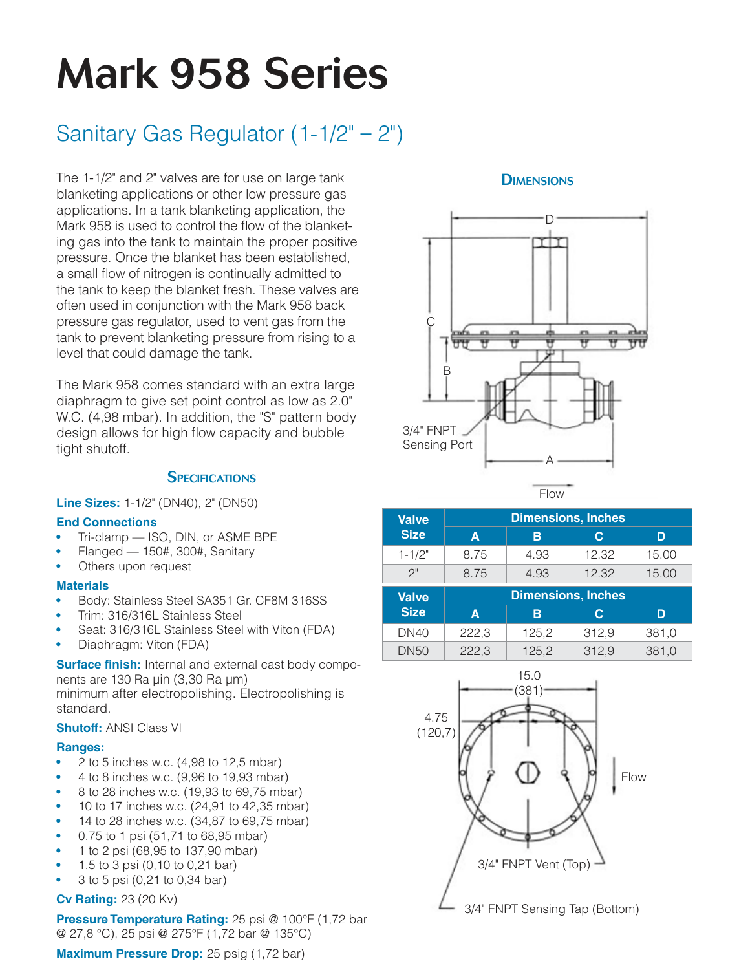### Mark 958 Series

### Sanitary Gas Regulator (1-1/2" – 2")

The 1-1/2" and 2" valves are for use on large tank blanketing applications or other low pressure gas applications. In a tank blanketing application, the Mark 958 is used to control the flow of the blanketing gas into the tank to maintain the proper positive pressure. Once the blanket has been established, a small flow of nitrogen is continually admitted to the tank to keep the blanket fresh. These valves are often used in conjunction with the Mark 958 back pressure gas regulator, used to vent gas from the tank to prevent blanketing pressure from rising to a level that could damage the tank.

The Mark 958 comes standard with an extra large diaphragm to give set point control as low as 2.0" W.C. (4,98 mbar). In addition, the "S" pattern body design allows for high flow capacity and bubble tight shutoff.

### **SPECIFICATIONS**

**Line Sizes:** 1-1/2" (DN40), 2" (DN50)

### **End Connections**

- Tri-clamp ISO, DIN, or ASME BPE
- Flanged 150#, 300#, Sanitary
- Others upon request

### **Materials**

- Body: Stainless Steel SA351 Gr. CF8M 316SS
- Trim: 316/316L Stainless Steel
- Seat: 316/316L Stainless Steel with Viton (FDA)
- Diaphragm: Viton (FDA)

**Surface finish:** Internal and external cast body components are 130 Ra µin (3,30 Ra µm) minimum after electropolishing. Electropolishing is standard.

### **Shutoff:** ANSI Class VI

### **Ranges:**

- 2 to 5 inches w.c. (4,98 to 12,5 mbar)
- 4 to 8 inches w.c. (9,96 to 19,93 mbar)
- 8 to 28 inches w.c. (19,93 to 69,75 mbar)
- 10 to 17 inches w.c. (24,91 to 42,35 mbar)
- 14 to 28 inches w.c. (34,87 to 69,75 mbar)
- 0.75 to 1 psi (51,71 to 68,95 mbar)
- 1 to 2 psi (68,95 to 137,90 mbar)
- 1.5 to 3 psi (0,10 to 0,21 bar)
- 3 to 5 psi (0,21 to 0,34 bar)

### **Cv Rating:** 23 (20 Kv)

**Pressure Temperature Rating:** 25 psi @ 100°F (1,72 bar @ 27,8 °C), 25 psi @ 275°F (1,72 bar @ 135°C)

**Maximum Pressure Drop:** 25 psig (1,72 bar)

### **DIMENSIONS**



Flow

| <b>Valve</b> |                  | <b>Dimensions, Inches</b> |       |       |  |  |
|--------------|------------------|---------------------------|-------|-------|--|--|
| <b>Size</b>  | A                | в                         | С     | D     |  |  |
| $1 - 1/2"$   | 8.75             | 4.93                      | 12.32 | 15.00 |  |  |
| 2"           | 8.75             | 4.93                      | 12.32 | 15.00 |  |  |
|              |                  |                           |       |       |  |  |
| <b>Valve</b> |                  | <b>Dimensions, Inches</b> |       |       |  |  |
| <b>Size</b>  | $\blacktriangle$ | В                         | С     | D     |  |  |
| <b>DN40</b>  | 222,3            | 125,2                     | 312,9 | 381,0 |  |  |

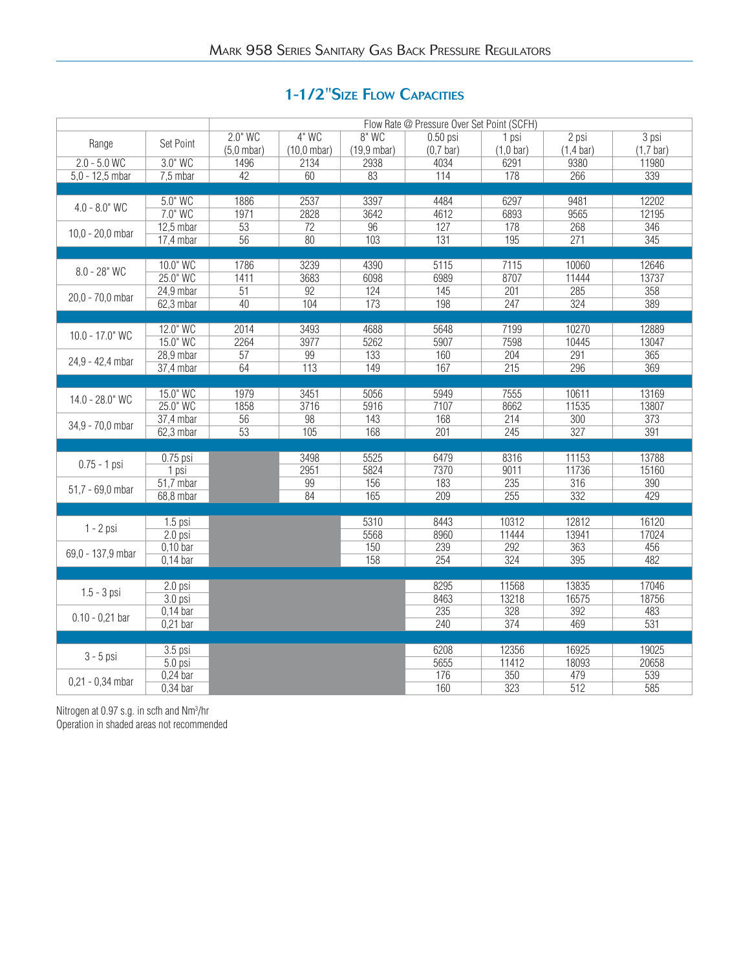### 1-1/2"SIZE FLOW CAPACITIES

|                    |             | Flow Rate @ Pressure Over Set Point (SCFH) |                       |                        |             |                     |                     |                |
|--------------------|-------------|--------------------------------------------|-----------------------|------------------------|-------------|---------------------|---------------------|----------------|
|                    |             | $2.0"$ WC                                  | $4"$ WC               | $8"$ WC                | $0.50$ psi  | 1 psi               | $2$ psi             | $3$ psi        |
| Range              | Set Point   | $(5,0$ mbar)                               | $(10,0 \text{ mbar})$ | $(19, 9 \text{ mbar})$ | $(0,7$ bar) | $(1,0 \text{ bar})$ | $(1,4 \text{ bar})$ | $(1,7$ bar)    |
| $2.0 - 5.0$ WC     | 3.0" WC     | 1496                                       | 2134                  | 2938                   | 4034        | 6291                | 9380                | 11980          |
| $5,0 - 12,5$ mbar  | $7,5$ mbar  | 42                                         | 60                    | 83                     | 114         | 178                 | 266                 | 339            |
|                    |             |                                            |                       |                        |             |                     |                     |                |
|                    | 5.0" WC     | 1886                                       | 2537                  | 3397                   | 4484        | 6297                | 9481                | 12202          |
| $4.0 - 8.0"$ WC    | 7.0" WC     | 1971                                       | 2828                  | 3642                   | 4612        | 6893                | 9565                | 12195          |
|                    | $12,5$ mbar | $\overline{53}$                            | 72                    | 96                     | 127         | 178                 | 268                 | 346            |
| 10,0 - $20,0$ mbar | $17,4$ mbar | $\overline{56}$                            | 80                    | 103                    | 131         | 195                 | 271                 | 345            |
|                    |             |                                            |                       |                        |             |                     |                     |                |
|                    | 10.0" WC    | 1786                                       | 3239                  | 4390                   | 5115        | 7115                | 10060               | 12646          |
| $8.0 - 28"$ WC     | 25.0" WC    | 1411                                       | 3683                  | 6098                   | 6989        | 8707                | 11444               | 13737          |
|                    | $24.9$ mbar | 51                                         | 92                    | 124                    | 145         | 201                 | 285                 | 358            |
| 20,0 - 70,0 mbar   | $62,3$ mbar | 40                                         | 104                   | 173                    | 198         | 247                 | 324                 | 389            |
|                    |             |                                            |                       |                        |             |                     |                     |                |
|                    | 12.0" WC    | 2014                                       | 3493                  | 4688                   | 5648        | 7199                | 10270               | 12889          |
| 10.0 - 17.0" WC    | 15.0" WC    | 2264                                       | 3977                  | 5262                   | 5907        | 7598                | 10445               | 13047          |
|                    | 28,9 mbar   | $\overline{57}$                            | 99                    | 133                    | 160         | 204                 | 291                 | 365            |
| 24,9 - 42,4 mbar   | 37,4 mbar   | 64                                         | 113                   | 149                    | 167         | 215                 | 296                 | 369            |
|                    |             |                                            |                       |                        |             |                     |                     |                |
|                    | 15.0" WC    | 1979                                       | 3451                  | 5056                   | 5949        | 7555                | 10611               | 13169          |
| 14.0 - 28.0" WC    | 25.0" WC    | 1858                                       | 3716                  | 5916                   | 7107        | 8662                | 11535               | 13807          |
|                    | 37,4 mbar   | $\overline{56}$                            | 98                    | 143                    | 168         | 214                 | 300                 | 373            |
| 34,9 - 70,0 mbar   | $62,3$ mbar | $\overline{53}$                            | 105                   | 168                    | 201         | 245                 | $\overline{327}$    | 391            |
|                    |             |                                            |                       |                        |             |                     |                     |                |
|                    | $0.75$ psi  |                                            | 3498                  | 5525                   | 6479        | 8316                | 11153               | 13788          |
| $0.75 - 1$ psi     | 1 psi       |                                            | 2951                  | 5824                   | 7370        | 9011                | 11736               | 15160          |
|                    | $51,7$ mbar |                                            | 99                    | 156                    | 183         | 235                 | 316                 | 390            |
| 51,7 - 69,0 mbar   |             |                                            | 84                    | 165                    | 209         | 255                 | 332                 | 429            |
|                    | 68,8 mbar   |                                            |                       |                        |             |                     |                     |                |
|                    |             |                                            |                       |                        |             |                     |                     |                |
| $1 - 2$ psi        | $1.5$ psi   |                                            |                       | 5310                   | 8443        | 10312               | 12812               | 16120<br>17024 |
|                    | $2.0$ psi   |                                            |                       | 5568                   | 8960        | 11444               | 13941               |                |
| 69,0 - 137,9 mbar  | $0,10$ bar  |                                            |                       | 150                    | 239         | 292                 | 363                 | 456            |
|                    | $0,14$ bar  |                                            |                       | 158                    | 254         | 324                 | 395                 | 482            |
|                    |             |                                            |                       |                        |             |                     |                     |                |
| $1.5 - 3$ psi      | $2.0$ psi   |                                            |                       |                        | 8295        | 11568               | 13835               | 17046          |
|                    | 3.0 psi     |                                            |                       |                        | 8463        | 13218               | 16575               | 18756          |
| $0.10 - 0.21$ bar  | $0,14$ bar  |                                            |                       |                        | 235         | 328                 | 392                 | 483            |
|                    | $0,21$ bar  |                                            |                       |                        | 240         | 374                 | 469                 | 531            |
|                    |             |                                            |                       |                        |             |                     |                     |                |
| $3 - 5$ psi        | $3.5$ psi   |                                            |                       |                        | 6208        | 12356               | 16925               | 19025          |
|                    | $5.0$ psi   |                                            |                       |                        | 5655        | 11412               | 18093               | 20658          |
| $0,21 - 0,34$ mbar | $0,24$ bar  |                                            |                       |                        | 176         | 350                 | 479                 | 539            |
|                    | $0,34$ bar  |                                            |                       |                        | 160         | 323                 | 512                 | 585            |

Nitrogen at 0.97 s.g. in scfh and Nm<sup>3</sup> /hr Operation in shaded areas not recommended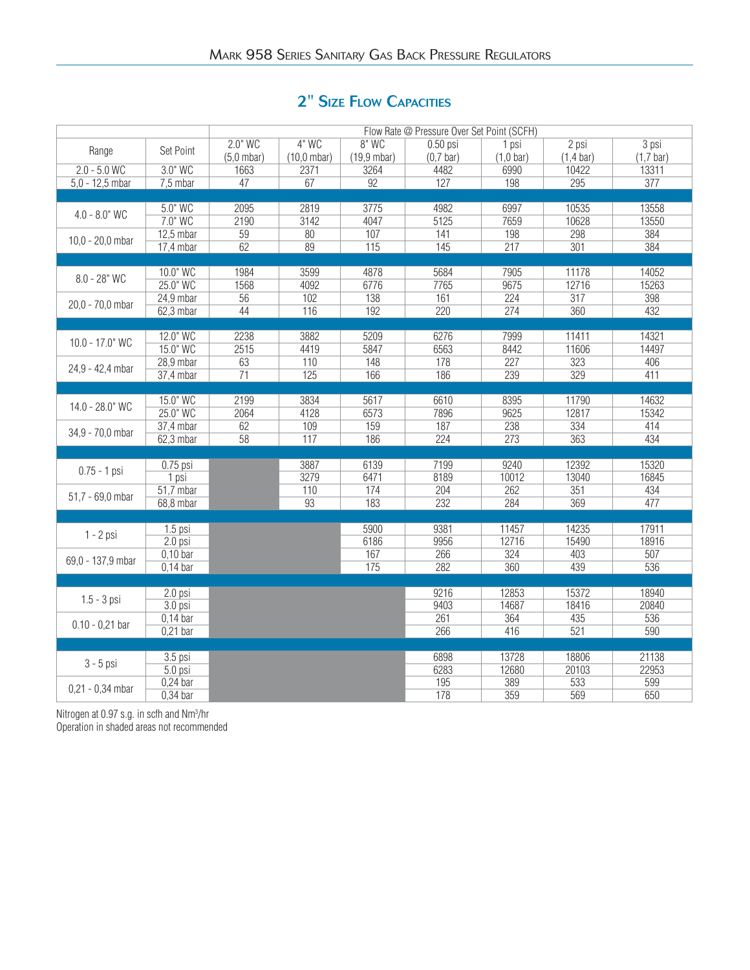### 2" SIZE FLOW CAPACITIES

|                    |             | Flow Rate @ Pressure Over Set Point (SCFH) |                       |                       |             |                     |                     |                  |
|--------------------|-------------|--------------------------------------------|-----------------------|-----------------------|-------------|---------------------|---------------------|------------------|
|                    |             | $2.0"$ WC                                  | $4"$ WC               | 8" WC                 | $0.50$ psi  | 1 psi               | $2$ psi             | $3$ psi          |
| Range              | Set Point   | $(5,0$ mbar)                               | $(10,0 \text{ mbar})$ | $(19,9 \text{ mbar})$ | $(0,7$ bar) | $(1,0 \text{ bar})$ | $(1,4 \text{ bar})$ | $(1,7$ bar)      |
| $2.0 - 5.0$ WC     | 3.0" WC     | 1663                                       | 2371                  | 3264                  | 4482        | 6990                | 10422               | 13311            |
| $5,0 - 12,5$ mbar  | 7,5 mbar    | 47                                         | 67                    | 92                    | 127         | 198                 | 295                 | $\overline{377}$ |
|                    |             |                                            |                       |                       |             |                     |                     |                  |
|                    | 5.0" WC     | 2095                                       | 2819                  | 3775                  | 4982        | 6997                | 10535               | 13558            |
| $4.0 - 8.0"$ WC    | 7.0" WC     | 2190                                       | 3142                  | 4047                  | 5125        | 7659                | 10628               | 13550            |
|                    | $12,5$ mbar | 59                                         | 80                    | 107                   | 141         | 198                 | 298                 | 384              |
| 10,0 - $20,0$ mbar | 17,4 mbar   | 62                                         | 89                    | 115                   | 145         | 217                 | 301                 | 384              |
|                    |             |                                            |                       |                       |             |                     |                     |                  |
|                    | 10.0" WC    | 1984                                       | 3599                  | 4878                  | 5684        | 7905                | 11178               | 14052            |
| $8.0 - 28"$ WC     | 25.0" WC    | 1568                                       | 4092                  | 6776                  | 7765        | 9675                | 12716               | 15263            |
|                    | $24.9$ mbar | 56                                         | 102                   | 138                   | 161         | 224                 | $\overline{317}$    | 398              |
| 20,0 - 70,0 mbar   | $62,3$ mbar | 44                                         | 116                   | 192                   | 220         | 274                 | 360                 | 432              |
|                    |             |                                            |                       |                       |             |                     |                     |                  |
|                    | 12.0" WC    | 2238                                       | 3882                  | 5209                  | 6276        | 7999                | 11411               | 14321            |
| 10.0 - 17.0" WC    | 15.0" WC    | 2515                                       | 4419                  | 5847                  | 6563        | 8442                | 11606               | 14497            |
|                    | 28,9 mbar   | 63                                         | 110                   | 148                   | 178         | $\overline{227}$    | 323                 | 406              |
| 24,9 - 42,4 mbar   | 37,4 mbar   | 71                                         | 125                   | 166                   | 186         | 239                 | 329                 | 411              |
|                    |             |                                            |                       |                       |             |                     |                     |                  |
|                    | 15.0" WC    | 2199                                       | 3834                  | 5617                  | 6610        | 8395                | 11790               | 14632            |
| 14.0 - 28.0" WC    | 25.0" WC    | 2064                                       | 4128                  | 6573                  | 7896        | 9625                | 12817               | 15342            |
|                    | $37,4$ mbar | 62                                         | 109                   | 159                   | 187         | 238                 | 334                 | 414              |
| 34,9 - 70,0 mbar   | $62,3$ mbar | $\overline{58}$                            | 117                   | 186                   | 224         | 273                 | 363                 | 434              |
|                    |             |                                            |                       |                       |             |                     |                     |                  |
|                    | $0.75$ psi  |                                            | 3887                  | 6139                  | 7199        | 9240                | 12392               | 15320            |
| $0.75 - 1$ psi     |             |                                            | 3279                  | 6471                  | 8189        | 10012               | 13040               | 16845            |
|                    | 1 psi       |                                            |                       |                       | 204         | 262                 | 351                 |                  |
| 51,7 - 69,0 mbar   | 51,7 mbar   |                                            | 110                   | 174                   |             |                     |                     | 434              |
|                    | 68,8 mbar   |                                            | 93                    | 183                   | 232         | 284                 | 369                 | 477              |
|                    |             |                                            |                       |                       | 9381        |                     |                     | 17911            |
| $1 - 2$ psi        | $1.5$ psi   |                                            |                       | 5900                  |             | 11457<br>12716      | 14235<br>15490      | 18916            |
|                    | $2.0$ psi   |                                            |                       | 6186                  | 9956        |                     |                     |                  |
| 69,0 - 137,9 mbar  | $0,10$ bar  |                                            |                       | 167                   | 266         | 324                 | 403                 | 507              |
|                    | $0,14$ bar  |                                            |                       | 175                   | 282         | 360                 | 439                 | 536              |
|                    |             |                                            |                       |                       |             |                     |                     |                  |
| $1.5 - 3$ psi      | 2.0 psi     |                                            |                       |                       | 9216        | 12853               | 15372               | 18940            |
|                    | 3.0 psi     |                                            |                       |                       | 9403        | 14687               | 18416               | 20840            |
| $0.10 - 0.21$ bar  | $0,14$ bar  |                                            |                       |                       | 261         | 364                 | 435                 | 536              |
|                    | $0,21$ bar  |                                            |                       |                       | 266         | 416                 | 521                 | 590              |
|                    |             |                                            |                       |                       |             |                     |                     |                  |
| $3 - 5$ psi        | 3.5 psi     |                                            |                       |                       | 6898        | 13728               | 18806               | 21138            |
|                    | $5.0$ psi   |                                            |                       |                       | 6283        | 12680               | 20103               | 22953            |
| $0,21 - 0,34$ mbar | $0,24$ bar  |                                            |                       |                       | 195         | 389                 | 533                 | 599              |
|                    | $0,34$ bar  |                                            |                       |                       | 178         | 359                 | 569                 | 650              |

Nitrogen at 0.97 s.g. in scfh and Nm<sup>3</sup> /hr Operation in shaded areas not recommended